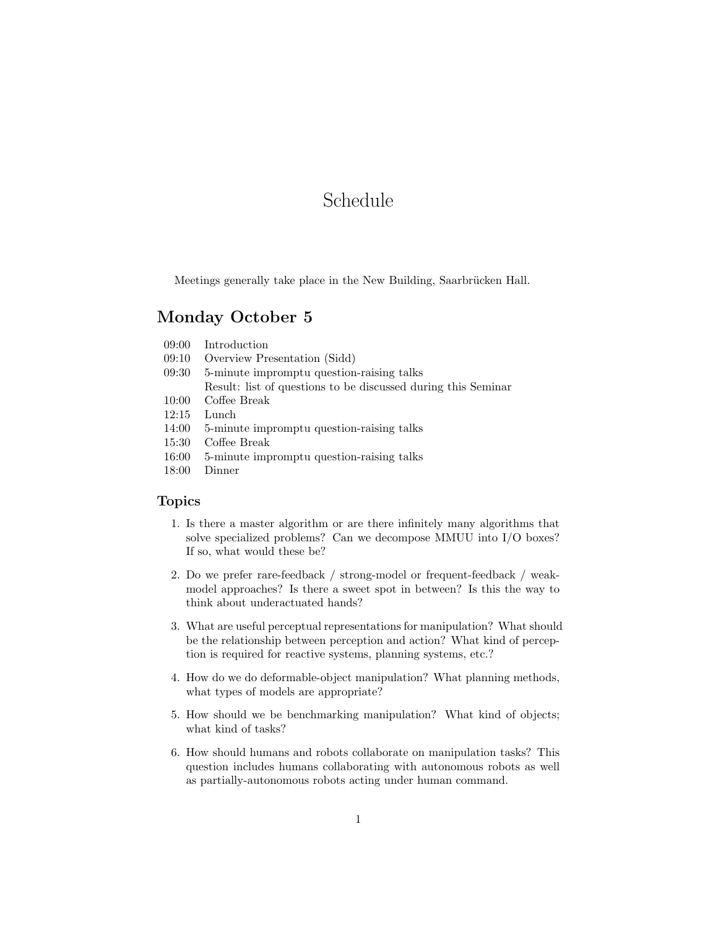# Schedule

Meetings generally take place in the New Building, Saarbrücken Hall.

#### Monday October 5

- 09:00 Introduction
- 09:10 Overview Presentation (Sidd)
- 09:30 5-minute impromptu question-raising talks
- Result: list of questions to be discussed during this Seminar
- 10:00 Coffee Break
- 12:15 Lunch
- 14:00 5-minute impromptu question-raising talks
- 15:30 Coffee Break
- 16:00 5-minute impromptu question-raising talks
- 18:00 Dinner

#### Topics

- <span id="page-0-0"></span>1. Is there a master algorithm or are there infinitely many algorithms that solve specialized problems? Can we decompose MMUU into I/O boxes? If so, what would these be?
- 2. Do we prefer rare-feedback / strong-model or frequent-feedback / weakmodel approaches? Is there a sweet spot in between? Is this the way to think about underactuated hands?
- <span id="page-0-1"></span>3. What are useful perceptual representations for manipulation? What should be the relationship between perception and action? What kind of perception is required for reactive systems, planning systems, etc.?
- 4. How do we do deformable-object manipulation? What planning methods, what types of models are appropriate?
- <span id="page-0-2"></span>5. How should we be benchmarking manipulation? What kind of objects; what kind of tasks?
- 6. How should humans and robots collaborate on manipulation tasks? This question includes humans collaborating with autonomous robots as well as partially-autonomous robots acting under human command.